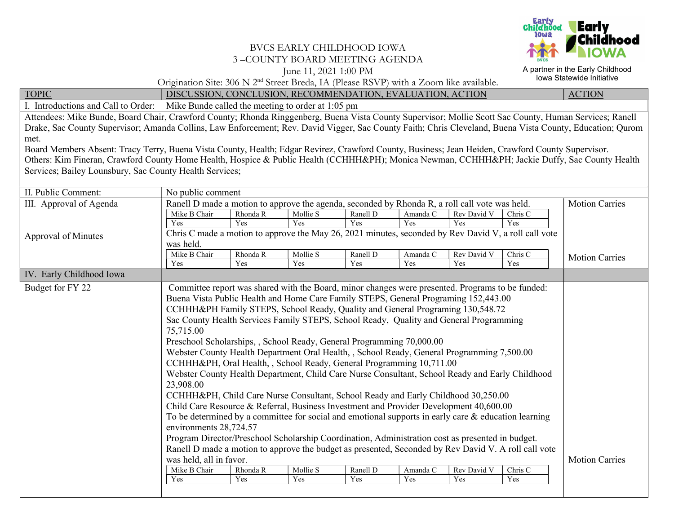

## BVCS EARLY CHILDHOOD IOWA 3 –COUNTY BOARD MEETING AGENDA

June 11, 2021 1:00 PM

A partner in the Early Childhood Iowa Statewide Initiative

Origination Site: 306 N 2nd Street Breda, IA (Please RSVP) with a Zoom like available.

TOPIC DISCUSSION, CONCLUSION, RECOMMENDATION, EVALUATION, ACTION ACTION

I. Introductions and Call to Order: Mike Bunde called the meeting to order at 1:05 pm

Attendees: Mike Bunde, Board Chair, Crawford County; Rhonda Ringgenberg, Buena Vista County Supervisor; Mollie Scott Sac County, Human Services; Ranell Drake, Sac County Supervisor; Amanda Collins, Law Enforcement; Rev. David Vigger, Sac County Faith; Chris Cleveland, Buena Vista County, Education; Qurom met.

Board Members Absent: Tracy Terry, Buena Vista County, Health; Edgar Revirez, Crawford County, Business; Jean Heiden, Crawford County Supervisor. Others: Kim Fineran, Crawford County Home Health, Hospice & Public Health (CCHHH&PH); Monica Newman, CCHHH&PH; Jackie Duffy, Sac County Health Services; Bailey Lounsbury, Sac County Health Services;

| II. Public Comment:        | No public comment                                                                                                                                                                                                                     |                       |          |          |          |             |         |                       |  |  |
|----------------------------|---------------------------------------------------------------------------------------------------------------------------------------------------------------------------------------------------------------------------------------|-----------------------|----------|----------|----------|-------------|---------|-----------------------|--|--|
| III. Approval of Agenda    | Ranell D made a motion to approve the agenda, seconded by Rhonda R, a roll call vote was held.                                                                                                                                        | <b>Motion Carries</b> |          |          |          |             |         |                       |  |  |
|                            | Mike B Chair                                                                                                                                                                                                                          | Rhonda R              | Mollie S | Ranell D | Amanda C | Rev David V | Chris C |                       |  |  |
|                            | Yes                                                                                                                                                                                                                                   | Yes                   | Yes      | Yes      | Yes      | Yes         | Yes     |                       |  |  |
| <b>Approval of Minutes</b> | Chris C made a motion to approve the May 26, 2021 minutes, seconded by Rev David V, a roll call vote                                                                                                                                  |                       |          |          |          |             |         |                       |  |  |
|                            | was held.                                                                                                                                                                                                                             |                       |          |          |          |             |         |                       |  |  |
|                            | Mike B Chair                                                                                                                                                                                                                          | Rhonda R              | Mollie S | Ranell D | Amanda C | Rev David V | Chris C | <b>Motion Carries</b> |  |  |
|                            | Yes                                                                                                                                                                                                                                   | Yes                   | Yes      | Yes      | Yes      | Yes         | Yes     |                       |  |  |
| IV. Early Childhood Iowa   |                                                                                                                                                                                                                                       |                       |          |          |          |             |         |                       |  |  |
| Budget for FY 22           | Committee report was shared with the Board, minor changes were presented. Programs to be funded:                                                                                                                                      |                       |          |          |          |             |         |                       |  |  |
|                            | Buena Vista Public Health and Home Care Family STEPS, General Programing 152,443.00                                                                                                                                                   |                       |          |          |          |             |         |                       |  |  |
|                            | CCHHH&PH Family STEPS, School Ready, Quality and General Programing 130,548.72                                                                                                                                                        |                       |          |          |          |             |         |                       |  |  |
|                            | Sac County Health Services Family STEPS, School Ready, Quality and General Programming                                                                                                                                                |                       |          |          |          |             |         |                       |  |  |
|                            | 75,715.00                                                                                                                                                                                                                             |                       |          |          |          |             |         |                       |  |  |
|                            |                                                                                                                                                                                                                                       |                       |          |          |          |             |         |                       |  |  |
|                            | Preschool Scholarships, , School Ready, General Programming 70,000.00<br>Webster County Health Department Oral Health, , School Ready, General Programming 7,500.00                                                                   |                       |          |          |          |             |         |                       |  |  |
|                            | CCHHH&PH, Oral Health, , School Ready, General Programming 10,711.00<br>Webster County Health Department, Child Care Nurse Consultant, School Ready and Early Childhood                                                               |                       |          |          |          |             |         |                       |  |  |
|                            |                                                                                                                                                                                                                                       |                       |          |          |          |             |         |                       |  |  |
|                            |                                                                                                                                                                                                                                       |                       |          |          |          |             |         |                       |  |  |
|                            | 23,908.00                                                                                                                                                                                                                             |                       |          |          |          |             |         |                       |  |  |
|                            | CCHHH&PH, Child Care Nurse Consultant, School Ready and Early Childhood 30,250.00                                                                                                                                                     |                       |          |          |          |             |         |                       |  |  |
|                            | Child Care Resource & Referral, Business Investment and Provider Development 40,600.00                                                                                                                                                |                       |          |          |          |             |         |                       |  |  |
|                            | To be determined by a committee for social and emotional supports in early care $\&$ education learning<br>environments 28,724.57<br>Program Director/Preschool Scholarship Coordination, Administration cost as presented in budget. |                       |          |          |          |             |         |                       |  |  |
|                            |                                                                                                                                                                                                                                       |                       |          |          |          |             |         |                       |  |  |
|                            |                                                                                                                                                                                                                                       |                       |          |          |          |             |         |                       |  |  |
|                            | Ranell D made a motion to approve the budget as presented, Seconded by Rev David V. A roll call vote                                                                                                                                  |                       |          |          |          |             |         |                       |  |  |
|                            | was held, all in favor.                                                                                                                                                                                                               | <b>Motion Carries</b> |          |          |          |             |         |                       |  |  |
|                            | Mike B Chair                                                                                                                                                                                                                          | Rhonda R              | Mollie S | Ranell D | Amanda C | Rev David V | Chris C |                       |  |  |
|                            | Yes                                                                                                                                                                                                                                   | Yes                   | Yes      | Yes      | Yes      | Yes         | Yes     |                       |  |  |
|                            |                                                                                                                                                                                                                                       |                       |          |          |          |             |         |                       |  |  |